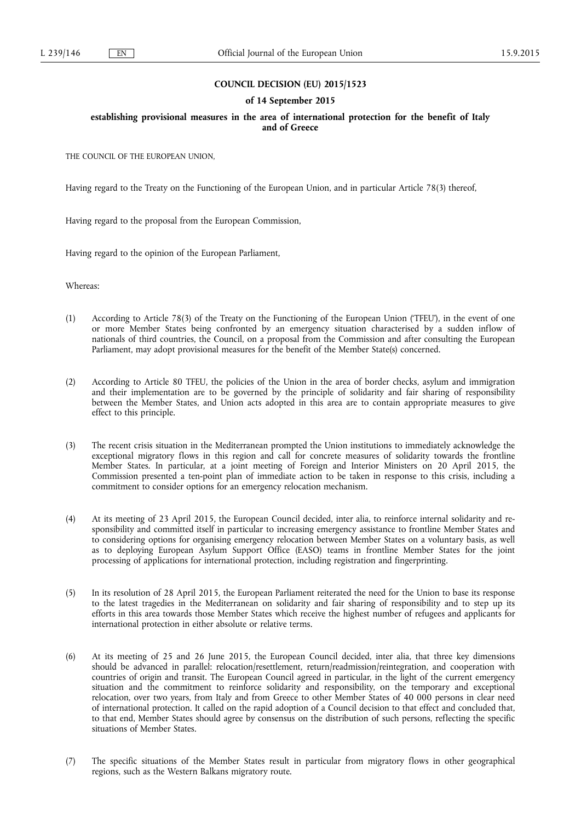# **COUNCIL DECISION (EU) 2015/1523**

## **of 14 September 2015**

# **establishing provisional measures in the area of international protection for the benefit of Italy and of Greece**

THE COUNCIL OF THE EUROPEAN UNION,

Having regard to the Treaty on the Functioning of the European Union, and in particular Article 78(3) thereof,

Having regard to the proposal from the European Commission,

Having regard to the opinion of the European Parliament,

Whereas:

- (1) According to Article 78(3) of the Treaty on the Functioning of the European Union ('TFEU'), in the event of one or more Member States being confronted by an emergency situation characterised by a sudden inflow of nationals of third countries, the Council, on a proposal from the Commission and after consulting the European Parliament, may adopt provisional measures for the benefit of the Member State(s) concerned.
- (2) According to Article 80 TFEU, the policies of the Union in the area of border checks, asylum and immigration and their implementation are to be governed by the principle of solidarity and fair sharing of responsibility between the Member States, and Union acts adopted in this area are to contain appropriate measures to give effect to this principle.
- (3) The recent crisis situation in the Mediterranean prompted the Union institutions to immediately acknowledge the exceptional migratory flows in this region and call for concrete measures of solidarity towards the frontline Member States. In particular, at a joint meeting of Foreign and Interior Ministers on 20 April 2015, the Commission presented a ten-point plan of immediate action to be taken in response to this crisis, including a commitment to consider options for an emergency relocation mechanism.
- (4) At its meeting of 23 April 2015, the European Council decided, inter alia, to reinforce internal solidarity and responsibility and committed itself in particular to increasing emergency assistance to frontline Member States and to considering options for organising emergency relocation between Member States on a voluntary basis, as well as to deploying European Asylum Support Office (EASO) teams in frontline Member States for the joint processing of applications for international protection, including registration and fingerprinting.
- (5) In its resolution of 28 April 2015, the European Parliament reiterated the need for the Union to base its response to the latest tragedies in the Mediterranean on solidarity and fair sharing of responsibility and to step up its efforts in this area towards those Member States which receive the highest number of refugees and applicants for international protection in either absolute or relative terms.
- (6) At its meeting of 25 and 26 June 2015, the European Council decided, inter alia, that three key dimensions should be advanced in parallel: relocation/resettlement, return/readmission/reintegration, and cooperation with countries of origin and transit. The European Council agreed in particular, in the light of the current emergency situation and the commitment to reinforce solidarity and responsibility, on the temporary and exceptional relocation, over two years, from Italy and from Greece to other Member States of 40 000 persons in clear need of international protection. It called on the rapid adoption of a Council decision to that effect and concluded that, to that end, Member States should agree by consensus on the distribution of such persons, reflecting the specific situations of Member States.
- (7) The specific situations of the Member States result in particular from migratory flows in other geographical regions, such as the Western Balkans migratory route.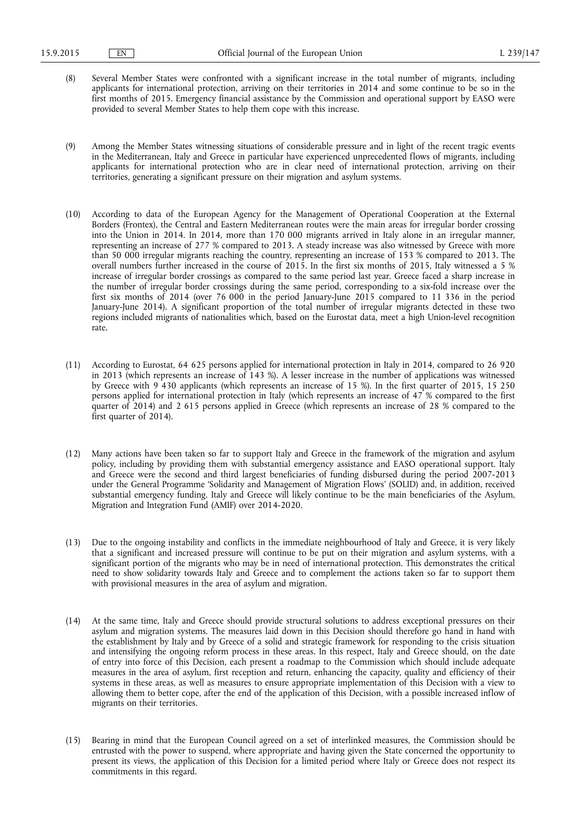- (8) Several Member States were confronted with a significant increase in the total number of migrants, including applicants for international protection, arriving on their territories in 2014 and some continue to be so in the first months of 2015. Emergency financial assistance by the Commission and operational support by EASO were provided to several Member States to help them cope with this increase.
- (9) Among the Member States witnessing situations of considerable pressure and in light of the recent tragic events in the Mediterranean, Italy and Greece in particular have experienced unprecedented flows of migrants, including applicants for international protection who are in clear need of international protection, arriving on their territories, generating a significant pressure on their migration and asylum systems.
- (10) According to data of the European Agency for the Management of Operational Cooperation at the External Borders (Frontex), the Central and Eastern Mediterranean routes were the main areas for irregular border crossing into the Union in 2014. In 2014, more than 170 000 migrants arrived in Italy alone in an irregular manner, representing an increase of 277 % compared to 2013. A steady increase was also witnessed by Greece with more than 50 000 irregular migrants reaching the country, representing an increase of 153 % compared to 2013. The overall numbers further increased in the course of 2015. In the first six months of 2015, Italy witnessed a 5 % increase of irregular border crossings as compared to the same period last year. Greece faced a sharp increase in the number of irregular border crossings during the same period, corresponding to a six-fold increase over the first six months of 2014 (over 76 000 in the period January-June 2015 compared to 11 336 in the period January-June 2014). A significant proportion of the total number of irregular migrants detected in these two regions included migrants of nationalities which, based on the Eurostat data, meet a high Union-level recognition rate.
- (11) According to Eurostat, 64 625 persons applied for international protection in Italy in 2014, compared to 26 920 in 2013 (which represents an increase of 143 %). A lesser increase in the number of applications was witnessed by Greece with 9 430 applicants (which represents an increase of 15 %). In the first quarter of 2015, 15 250 persons applied for international protection in Italy (which represents an increase of 47 % compared to the first quarter of 2014) and 2 615 persons applied in Greece (which represents an increase of 28 % compared to the first quarter of 2014).
- (12) Many actions have been taken so far to support Italy and Greece in the framework of the migration and asylum policy, including by providing them with substantial emergency assistance and EASO operational support. Italy and Greece were the second and third largest beneficiaries of funding disbursed during the period 2007-2013 under the General Programme 'Solidarity and Management of Migration Flows' (SOLID) and, in addition, received substantial emergency funding. Italy and Greece will likely continue to be the main beneficiaries of the Asylum, Migration and Integration Fund (AMIF) over 2014-2020.
- (13) Due to the ongoing instability and conflicts in the immediate neighbourhood of Italy and Greece, it is very likely that a significant and increased pressure will continue to be put on their migration and asylum systems, with a significant portion of the migrants who may be in need of international protection. This demonstrates the critical need to show solidarity towards Italy and Greece and to complement the actions taken so far to support them with provisional measures in the area of asylum and migration.
- (14) At the same time, Italy and Greece should provide structural solutions to address exceptional pressures on their asylum and migration systems. The measures laid down in this Decision should therefore go hand in hand with the establishment by Italy and by Greece of a solid and strategic framework for responding to the crisis situation and intensifying the ongoing reform process in these areas. In this respect, Italy and Greece should, on the date of entry into force of this Decision, each present a roadmap to the Commission which should include adequate measures in the area of asylum, first reception and return, enhancing the capacity, quality and efficiency of their systems in these areas, as well as measures to ensure appropriate implementation of this Decision with a view to allowing them to better cope, after the end of the application of this Decision, with a possible increased inflow of migrants on their territories.
- (15) Bearing in mind that the European Council agreed on a set of interlinked measures, the Commission should be entrusted with the power to suspend, where appropriate and having given the State concerned the opportunity to present its views, the application of this Decision for a limited period where Italy or Greece does not respect its commitments in this regard.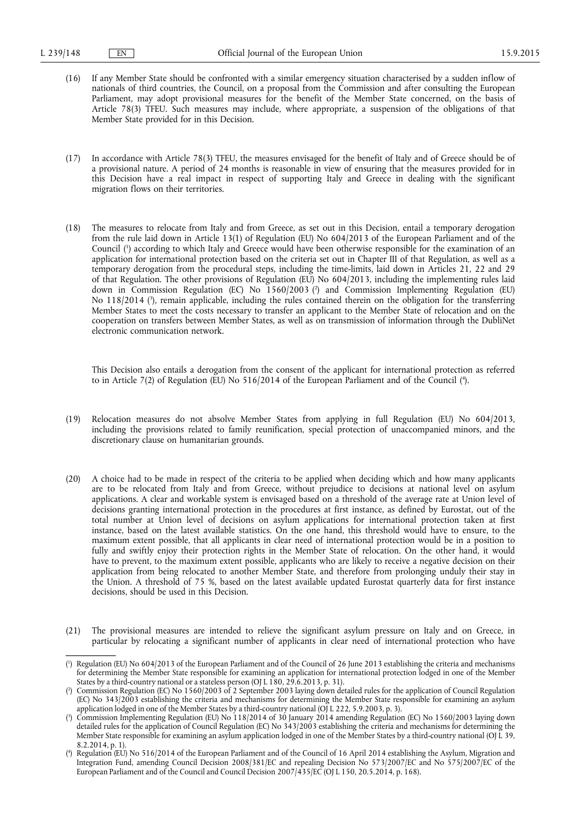- (16) If any Member State should be confronted with a similar emergency situation characterised by a sudden inflow of nationals of third countries, the Council, on a proposal from the Commission and after consulting the European Parliament, may adopt provisional measures for the benefit of the Member State concerned, on the basis of Article 78(3) TFEU. Such measures may include, where appropriate, a suspension of the obligations of that Member State provided for in this Decision.
- (17) In accordance with Article 78(3) TFEU, the measures envisaged for the benefit of Italy and of Greece should be of a provisional nature. A period of 24 months is reasonable in view of ensuring that the measures provided for in this Decision have a real impact in respect of supporting Italy and Greece in dealing with the significant migration flows on their territories.
- (18) The measures to relocate from Italy and from Greece, as set out in this Decision, entail a temporary derogation from the rule laid down in Article 13(1) of Regulation (EU) No 604/2013 of the European Parliament and of the Council ( 1 ) according to which Italy and Greece would have been otherwise responsible for the examination of an application for international protection based on the criteria set out in Chapter III of that Regulation, as well as a temporary derogation from the procedural steps, including the time-limits, laid down in Articles 21, 22 and 29 of that Regulation. The other provisions of Regulation (EU) No 604/2013, including the implementing rules laid down in Commission Regulation (EC) No 1560/2003 ( 2 ) and Commission Implementing Regulation (EU) No 118/2014 ( 3 ), remain applicable, including the rules contained therein on the obligation for the transferring Member States to meet the costs necessary to transfer an applicant to the Member State of relocation and on the cooperation on transfers between Member States, as well as on transmission of information through the DubliNet electronic communication network.

This Decision also entails a derogation from the consent of the applicant for international protection as referred to in Article 7(2) of Regulation (EU) No 516/2014 of the European Parliament and of the Council ( 4 ).

- (19) Relocation measures do not absolve Member States from applying in full Regulation (EU) No 604/2013, including the provisions related to family reunification, special protection of unaccompanied minors, and the discretionary clause on humanitarian grounds.
- (20) A choice had to be made in respect of the criteria to be applied when deciding which and how many applicants are to be relocated from Italy and from Greece, without prejudice to decisions at national level on asylum applications. A clear and workable system is envisaged based on a threshold of the average rate at Union level of decisions granting international protection in the procedures at first instance, as defined by Eurostat, out of the total number at Union level of decisions on asylum applications for international protection taken at first instance, based on the latest available statistics. On the one hand, this threshold would have to ensure, to the maximum extent possible, that all applicants in clear need of international protection would be in a position to fully and swiftly enjoy their protection rights in the Member State of relocation. On the other hand, it would have to prevent, to the maximum extent possible, applicants who are likely to receive a negative decision on their application from being relocated to another Member State, and therefore from prolonging unduly their stay in the Union. A threshold of 75 %, based on the latest available updated Eurostat quarterly data for first instance decisions, should be used in this Decision.
- (21) The provisional measures are intended to relieve the significant asylum pressure on Italy and on Greece, in particular by relocating a significant number of applicants in clear need of international protection who have

<sup>(</sup> 1 ) Regulation (EU) No 604/2013 of the European Parliament and of the Council of 26 June 2013 establishing the criteria and mechanisms for determining the Member State responsible for examining an application for international protection lodged in one of the Member States by a third-country national or a stateless person (OJ L 180, 29.6.2013, p. 31).

<sup>(</sup> 2 ) Commission Regulation (EC) No 1560/2003 of 2 September 2003 laying down detailed rules for the application of Council Regulation (EC) No 343/2003 establishing the criteria and mechanisms for determining the Member State responsible for examining an asylum application lodged in one of the Member States by a third-country national (OJ L 222, 5.9.2003, p. 3).

<sup>(</sup> 3 ) Commission Implementing Regulation (EU) No 118/2014 of 30 January 2014 amending Regulation (EC) No 1560/2003 laying down detailed rules for the application of Council Regulation (EC) No 343/2003 establishing the criteria and mechanisms for determining the Member State responsible for examining an asylum application lodged in one of the Member States by a third-country national (OJ L 39, 8.2.2014, p. 1).

<sup>(</sup> 4 ) Regulation (EU) No 516/2014 of the European Parliament and of the Council of 16 April 2014 establishing the Asylum, Migration and Integration Fund, amending Council Decision 2008/381/EC and repealing Decision No 573/2007/EC and No 575/2007/EC of the European Parliament and of the Council and Council Decision 2007/435/EC (OJ L 150, 20.5.2014, p. 168).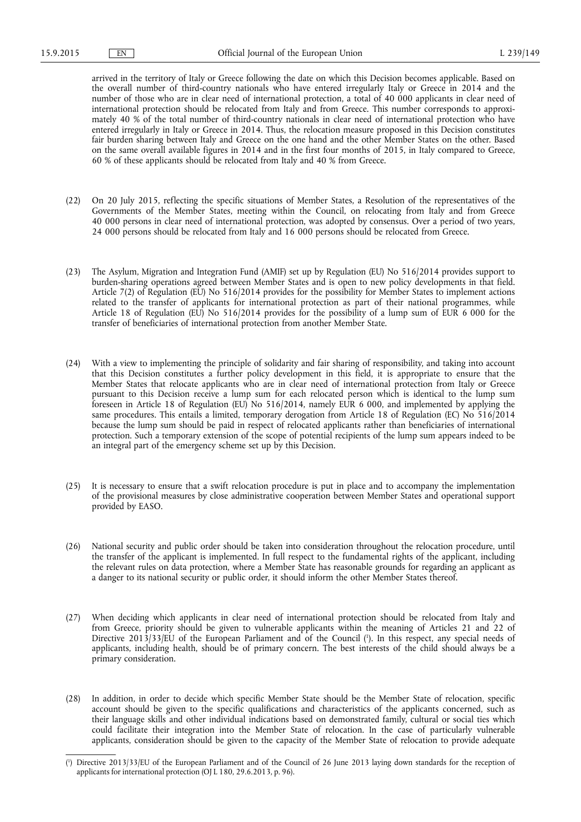arrived in the territory of Italy or Greece following the date on which this Decision becomes applicable. Based on the overall number of third-country nationals who have entered irregularly Italy or Greece in 2014 and the number of those who are in clear need of international protection, a total of 40 000 applicants in clear need of international protection should be relocated from Italy and from Greece. This number corresponds to approximately 40 % of the total number of third-country nationals in clear need of international protection who have entered irregularly in Italy or Greece in 2014. Thus, the relocation measure proposed in this Decision constitutes fair burden sharing between Italy and Greece on the one hand and the other Member States on the other. Based on the same overall available figures in 2014 and in the first four months of 2015, in Italy compared to Greece, 60 % of these applicants should be relocated from Italy and 40 % from Greece.

- (22) On 20 July 2015, reflecting the specific situations of Member States, a Resolution of the representatives of the Governments of the Member States, meeting within the Council, on relocating from Italy and from Greece 40 000 persons in clear need of international protection, was adopted by consensus. Over a period of two years, 24 000 persons should be relocated from Italy and 16 000 persons should be relocated from Greece.
- (23) The Asylum, Migration and Integration Fund (AMIF) set up by Regulation (EU) No 516/2014 provides support to burden-sharing operations agreed between Member States and is open to new policy developments in that field. Article 7(2) of Regulation (EU) No 516/2014 provides for the possibility for Member States to implement actions related to the transfer of applicants for international protection as part of their national programmes, while Article 18 of Regulation (EU) No 516/2014 provides for the possibility of a lump sum of EUR 6 000 for the transfer of beneficiaries of international protection from another Member State.
- (24) With a view to implementing the principle of solidarity and fair sharing of responsibility, and taking into account that this Decision constitutes a further policy development in this field, it is appropriate to ensure that the Member States that relocate applicants who are in clear need of international protection from Italy or Greece pursuant to this Decision receive a lump sum for each relocated person which is identical to the lump sum foreseen in Article 18 of Regulation (EU) No 516/2014, namely EUR 6 000, and implemented by applying the same procedures. This entails a limited, temporary derogation from Article 18 of Regulation (EC) No 516/2014 because the lump sum should be paid in respect of relocated applicants rather than beneficiaries of international protection. Such a temporary extension of the scope of potential recipients of the lump sum appears indeed to be an integral part of the emergency scheme set up by this Decision.
- (25) It is necessary to ensure that a swift relocation procedure is put in place and to accompany the implementation of the provisional measures by close administrative cooperation between Member States and operational support provided by EASO.
- (26) National security and public order should be taken into consideration throughout the relocation procedure, until the transfer of the applicant is implemented. In full respect to the fundamental rights of the applicant, including the relevant rules on data protection, where a Member State has reasonable grounds for regarding an applicant as a danger to its national security or public order, it should inform the other Member States thereof.
- (27) When deciding which applicants in clear need of international protection should be relocated from Italy and from Greece, priority should be given to vulnerable applicants within the meaning of Articles 21 and 22 of Directive 2013/33/EU of the European Parliament and of the Council ( 1 ). In this respect, any special needs of applicants, including health, should be of primary concern. The best interests of the child should always be a primary consideration.
- (28) In addition, in order to decide which specific Member State should be the Member State of relocation, specific account should be given to the specific qualifications and characteristics of the applicants concerned, such as their language skills and other individual indications based on demonstrated family, cultural or social ties which could facilitate their integration into the Member State of relocation. In the case of particularly vulnerable applicants, consideration should be given to the capacity of the Member State of relocation to provide adequate

<sup>(</sup> 1 ) Directive 2013/33/EU of the European Parliament and of the Council of 26 June 2013 laying down standards for the reception of applicants for international protection (OJ L 180, 29.6.2013, p. 96).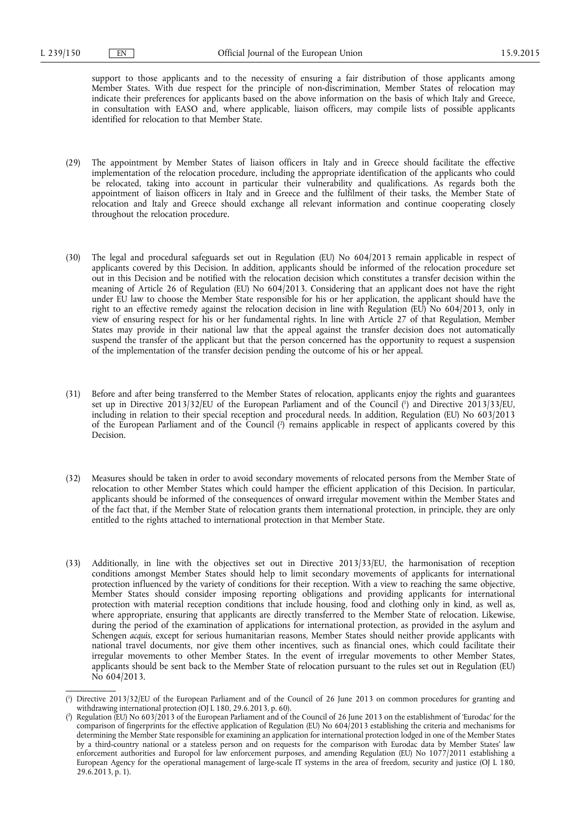support to those applicants and to the necessity of ensuring a fair distribution of those applicants among Member States. With due respect for the principle of non-discrimination, Member States of relocation may indicate their preferences for applicants based on the above information on the basis of which Italy and Greece, in consultation with EASO and, where applicable, liaison officers, may compile lists of possible applicants identified for relocation to that Member State.

- (29) The appointment by Member States of liaison officers in Italy and in Greece should facilitate the effective implementation of the relocation procedure, including the appropriate identification of the applicants who could be relocated, taking into account in particular their vulnerability and qualifications. As regards both the appointment of liaison officers in Italy and in Greece and the fulfilment of their tasks, the Member State of relocation and Italy and Greece should exchange all relevant information and continue cooperating closely throughout the relocation procedure.
- (30) The legal and procedural safeguards set out in Regulation (EU) No 604/2013 remain applicable in respect of applicants covered by this Decision. In addition, applicants should be informed of the relocation procedure set out in this Decision and be notified with the relocation decision which constitutes a transfer decision within the meaning of Article 26 of Regulation (EU) No 604/2013. Considering that an applicant does not have the right under EU law to choose the Member State responsible for his or her application, the applicant should have the right to an effective remedy against the relocation decision in line with Regulation (EU) No 604/2013, only in view of ensuring respect for his or her fundamental rights. In line with Article 27 of that Regulation, Member States may provide in their national law that the appeal against the transfer decision does not automatically suspend the transfer of the applicant but that the person concerned has the opportunity to request a suspension of the implementation of the transfer decision pending the outcome of his or her appeal.
- (31) Before and after being transferred to the Member States of relocation, applicants enjoy the rights and guarantees set up in Directive 2013/32/EU of the European Parliament and of the Council ( 1 ) and Directive 2013/33/EU, including in relation to their special reception and procedural needs. In addition, Regulation (EU) No 603/2013 of the European Parliament and of the Council ( 2 ) remains applicable in respect of applicants covered by this Decision.
- (32) Measures should be taken in order to avoid secondary movements of relocated persons from the Member State of relocation to other Member States which could hamper the efficient application of this Decision. In particular, applicants should be informed of the consequences of onward irregular movement within the Member States and of the fact that, if the Member State of relocation grants them international protection, in principle, they are only entitled to the rights attached to international protection in that Member State.
- (33) Additionally, in line with the objectives set out in Directive 2013/33/EU, the harmonisation of reception conditions amongst Member States should help to limit secondary movements of applicants for international protection influenced by the variety of conditions for their reception. With a view to reaching the same objective, Member States should consider imposing reporting obligations and providing applicants for international protection with material reception conditions that include housing, food and clothing only in kind, as well as, where appropriate, ensuring that applicants are directly transferred to the Member State of relocation. Likewise, during the period of the examination of applications for international protection, as provided in the asylum and Schengen *acquis*, except for serious humanitarian reasons, Member States should neither provide applicants with national travel documents, nor give them other incentives, such as financial ones, which could facilitate their irregular movements to other Member States. In the event of irregular movements to other Member States, applicants should be sent back to the Member State of relocation pursuant to the rules set out in Regulation (EU) No 604/2013.

<sup>(</sup> 1 ) Directive 2013/32/EU of the European Parliament and of the Council of 26 June 2013 on common procedures for granting and withdrawing international protection (OJ L 180, 29.6.2013, p. 60).

<sup>(</sup> 2 ) Regulation (EU) No 603/2013 of the European Parliament and of the Council of 26 June 2013 on the establishment of 'Eurodac' for the comparison of fingerprints for the effective application of Regulation (EU) No 604/2013 establishing the criteria and mechanisms for determining the Member State responsible for examining an application for international protection lodged in one of the Member States by a third-country national or a stateless person and on requests for the comparison with Eurodac data by Member States' law enforcement authorities and Europol for law enforcement purposes, and amending Regulation (EU) No 1077/2011 establishing a European Agency for the operational management of large-scale IT systems in the area of freedom, security and justice (OJ L 180, 29.6.2013, p. 1).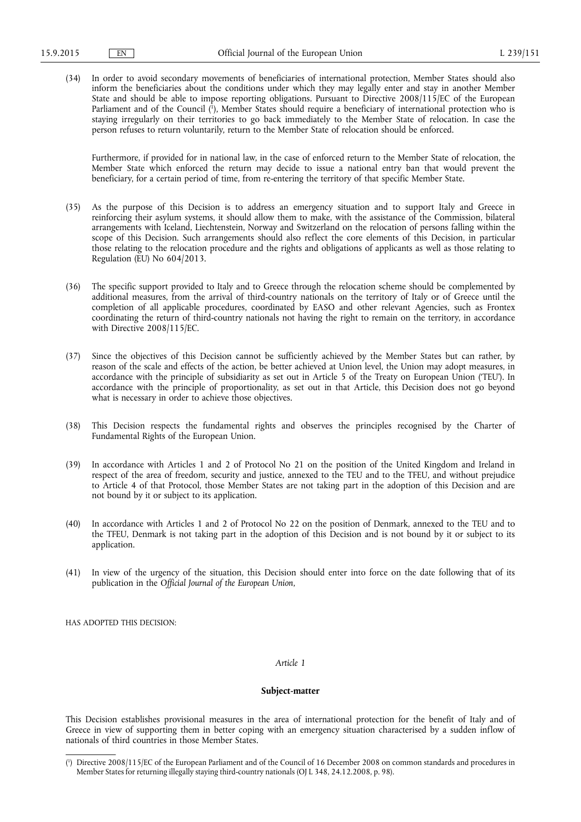(34) In order to avoid secondary movements of beneficiaries of international protection, Member States should also inform the beneficiaries about the conditions under which they may legally enter and stay in another Member State and should be able to impose reporting obligations. Pursuant to Directive 2008/115/EC of the European Parliament and of the Council ( 1 ), Member States should require a beneficiary of international protection who is staying irregularly on their territories to go back immediately to the Member State of relocation. In case the person refuses to return voluntarily, return to the Member State of relocation should be enforced.

Furthermore, if provided for in national law, in the case of enforced return to the Member State of relocation, the Member State which enforced the return may decide to issue a national entry ban that would prevent the beneficiary, for a certain period of time, from re-entering the territory of that specific Member State.

- (35) As the purpose of this Decision is to address an emergency situation and to support Italy and Greece in reinforcing their asylum systems, it should allow them to make, with the assistance of the Commission, bilateral arrangements with Iceland, Liechtenstein, Norway and Switzerland on the relocation of persons falling within the scope of this Decision. Such arrangements should also reflect the core elements of this Decision, in particular those relating to the relocation procedure and the rights and obligations of applicants as well as those relating to Regulation (EU) No 604/2013.
- (36) The specific support provided to Italy and to Greece through the relocation scheme should be complemented by additional measures, from the arrival of third-country nationals on the territory of Italy or of Greece until the completion of all applicable procedures, coordinated by EASO and other relevant Agencies, such as Frontex coordinating the return of third-country nationals not having the right to remain on the territory, in accordance with Directive 2008/115/EC.
- (37) Since the objectives of this Decision cannot be sufficiently achieved by the Member States but can rather, by reason of the scale and effects of the action, be better achieved at Union level, the Union may adopt measures, in accordance with the principle of subsidiarity as set out in Article 5 of the Treaty on European Union ('TEU'). In accordance with the principle of proportionality, as set out in that Article, this Decision does not go beyond what is necessary in order to achieve those objectives.
- (38) This Decision respects the fundamental rights and observes the principles recognised by the Charter of Fundamental Rights of the European Union.
- (39) In accordance with Articles 1 and 2 of Protocol No 21 on the position of the United Kingdom and Ireland in respect of the area of freedom, security and justice, annexed to the TEU and to the TFEU, and without prejudice to Article 4 of that Protocol, those Member States are not taking part in the adoption of this Decision and are not bound by it or subject to its application.
- (40) In accordance with Articles 1 and 2 of Protocol No 22 on the position of Denmark, annexed to the TEU and to the TFEU, Denmark is not taking part in the adoption of this Decision and is not bound by it or subject to its application.
- (41) In view of the urgency of the situation, this Decision should enter into force on the date following that of its publication in the *Official Journal of the European Union*,

HAS ADOPTED THIS DECISION:

# *Article 1*

# **Subject-matter**

This Decision establishes provisional measures in the area of international protection for the benefit of Italy and of Greece in view of supporting them in better coping with an emergency situation characterised by a sudden inflow of nationals of third countries in those Member States.

<sup>(</sup> 1 ) Directive 2008/115/EC of the European Parliament and of the Council of 16 December 2008 on common standards and procedures in Member States for returning illegally staying third-country nationals (OJ L 348, 24.12.2008, p. 98).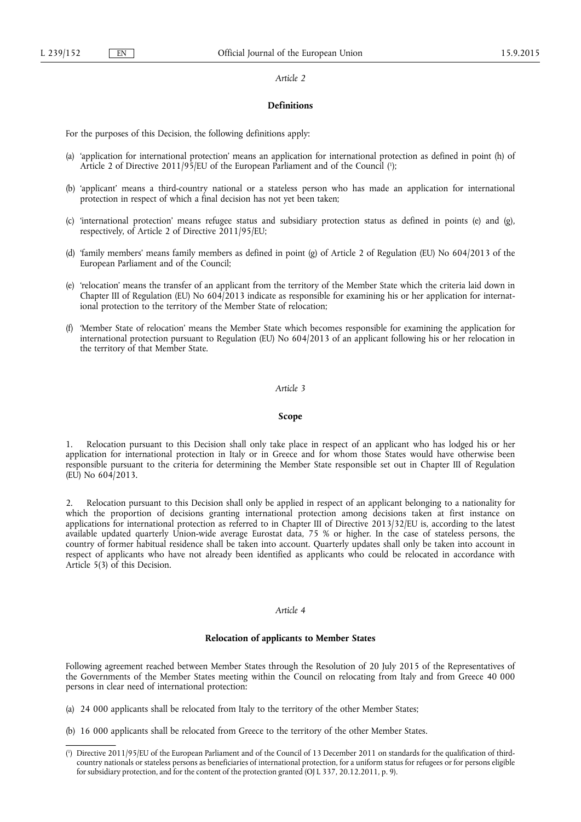#### *Article 2*

## **Definitions**

For the purposes of this Decision, the following definitions apply:

- (a) 'application for international protection' means an application for international protection as defined in point (h) of Article 2 of Directive 2011/95/EU of the European Parliament and of the Council ( 1 );
- (b) 'applicant' means a third-country national or a stateless person who has made an application for international protection in respect of which a final decision has not yet been taken;
- (c) 'international protection' means refugee status and subsidiary protection status as defined in points (e) and (g), respectively, of Article 2 of Directive 2011/95/EU;
- (d) 'family members' means family members as defined in point (g) of Article 2 of Regulation (EU) No 604/2013 of the European Parliament and of the Council;
- (e) 'relocation' means the transfer of an applicant from the territory of the Member State which the criteria laid down in Chapter III of Regulation (EU) No  $604/2013$  indicate as responsible for examining his or her application for international protection to the territory of the Member State of relocation;
- (f) 'Member State of relocation' means the Member State which becomes responsible for examining the application for international protection pursuant to Regulation (EU) No 604/2013 of an applicant following his or her relocation in the territory of that Member State.

### *Article 3*

#### **Scope**

1. Relocation pursuant to this Decision shall only take place in respect of an applicant who has lodged his or her application for international protection in Italy or in Greece and for whom those States would have otherwise been responsible pursuant to the criteria for determining the Member State responsible set out in Chapter III of Regulation  $(EU)$  No  $604/2013$ .

2. Relocation pursuant to this Decision shall only be applied in respect of an applicant belonging to a nationality for which the proportion of decisions granting international protection among decisions taken at first instance on applications for international protection as referred to in Chapter III of Directive 2013/32/EU is, according to the latest available updated quarterly Union-wide average Eurostat data, 75 % or higher. In the case of stateless persons, the country of former habitual residence shall be taken into account. Quarterly updates shall only be taken into account in respect of applicants who have not already been identified as applicants who could be relocated in accordance with Article 5(3) of this Decision.

#### *Article 4*

## **Relocation of applicants to Member States**

Following agreement reached between Member States through the Resolution of 20 July 2015 of the Representatives of the Governments of the Member States meeting within the Council on relocating from Italy and from Greece 40 000 persons in clear need of international protection:

- (a) 24 000 applicants shall be relocated from Italy to the territory of the other Member States;
- (b) 16 000 applicants shall be relocated from Greece to the territory of the other Member States.

<sup>(</sup> 1 ) Directive 2011/95/EU of the European Parliament and of the Council of 13 December 2011 on standards for the qualification of thirdcountry nationals or stateless persons as beneficiaries of international protection, for a uniform status for refugees or for persons eligible for subsidiary protection, and for the content of the protection granted (OJ L 337, 20.12.2011, p. 9).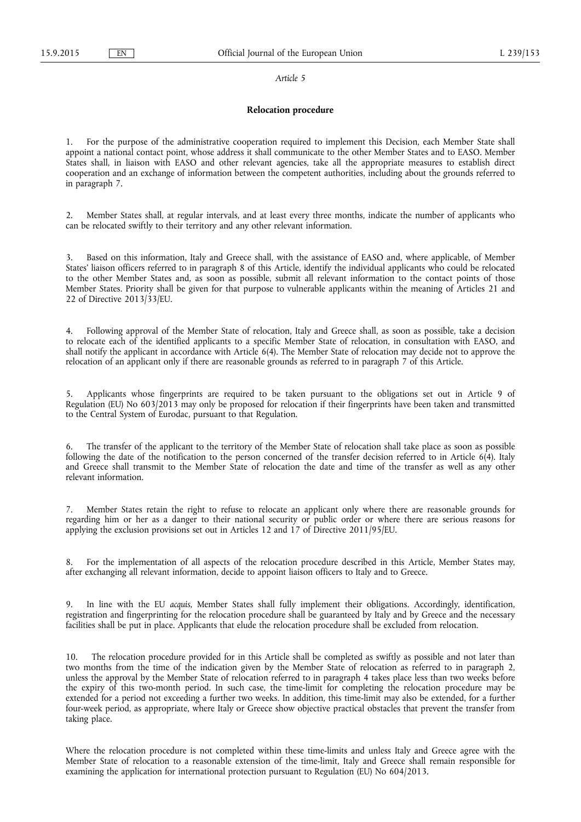#### *Article 5*

## **Relocation procedure**

1. For the purpose of the administrative cooperation required to implement this Decision, each Member State shall appoint a national contact point, whose address it shall communicate to the other Member States and to EASO. Member States shall, in liaison with EASO and other relevant agencies, take all the appropriate measures to establish direct cooperation and an exchange of information between the competent authorities, including about the grounds referred to in paragraph 7.

2. Member States shall, at regular intervals, and at least every three months, indicate the number of applicants who can be relocated swiftly to their territory and any other relevant information.

3. Based on this information, Italy and Greece shall, with the assistance of EASO and, where applicable, of Member States' liaison officers referred to in paragraph 8 of this Article, identify the individual applicants who could be relocated to the other Member States and, as soon as possible, submit all relevant information to the contact points of those Member States. Priority shall be given for that purpose to vulnerable applicants within the meaning of Articles 21 and 22 of Directive 2013/33/EU.

4. Following approval of the Member State of relocation, Italy and Greece shall, as soon as possible, take a decision to relocate each of the identified applicants to a specific Member State of relocation, in consultation with EASO, and shall notify the applicant in accordance with Article 6(4). The Member State of relocation may decide not to approve the relocation of an applicant only if there are reasonable grounds as referred to in paragraph 7 of this Article.

5. Applicants whose fingerprints are required to be taken pursuant to the obligations set out in Article 9 of Regulation (EU) No 603/2013 may only be proposed for relocation if their fingerprints have been taken and transmitted to the Central System of Eurodac, pursuant to that Regulation.

6. The transfer of the applicant to the territory of the Member State of relocation shall take place as soon as possible following the date of the notification to the person concerned of the transfer decision referred to in Article 6(4). Italy and Greece shall transmit to the Member State of relocation the date and time of the transfer as well as any other relevant information.

7. Member States retain the right to refuse to relocate an applicant only where there are reasonable grounds for regarding him or her as a danger to their national security or public order or where there are serious reasons for applying the exclusion provisions set out in Articles 12 and 17 of Directive 2011/95/EU.

8. For the implementation of all aspects of the relocation procedure described in this Article, Member States may, after exchanging all relevant information, decide to appoint liaison officers to Italy and to Greece.

9. In line with the EU *acquis*, Member States shall fully implement their obligations. Accordingly, identification, registration and fingerprinting for the relocation procedure shall be guaranteed by Italy and by Greece and the necessary facilities shall be put in place. Applicants that elude the relocation procedure shall be excluded from relocation.

The relocation procedure provided for in this Article shall be completed as swiftly as possible and not later than two months from the time of the indication given by the Member State of relocation as referred to in paragraph 2, unless the approval by the Member State of relocation referred to in paragraph 4 takes place less than two weeks before the expiry of this two-month period. In such case, the time-limit for completing the relocation procedure may be extended for a period not exceeding a further two weeks. In addition, this time-limit may also be extended, for a further four-week period, as appropriate, where Italy or Greece show objective practical obstacles that prevent the transfer from taking place.

Where the relocation procedure is not completed within these time-limits and unless Italy and Greece agree with the Member State of relocation to a reasonable extension of the time-limit, Italy and Greece shall remain responsible for examining the application for international protection pursuant to Regulation (EU) No 604/2013.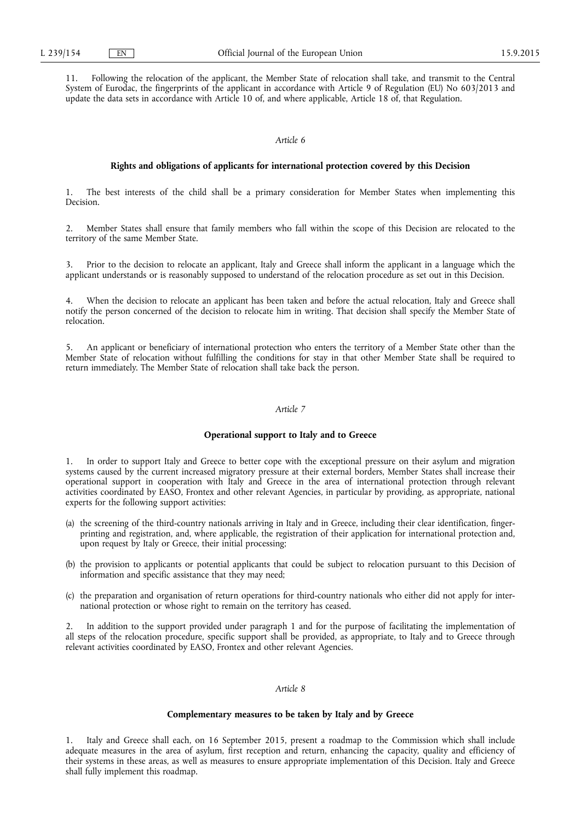11. Following the relocation of the applicant, the Member State of relocation shall take, and transmit to the Central System of Eurodac, the fingerprints of the applicant in accordance with Article 9 of Regulation (EU) No 603/2013 and update the data sets in accordance with Article 10 of, and where applicable, Article 18 of, that Regulation.

# *Article 6*

## **Rights and obligations of applicants for international protection covered by this Decision**

1. The best interests of the child shall be a primary consideration for Member States when implementing this Decision.

2. Member States shall ensure that family members who fall within the scope of this Decision are relocated to the territory of the same Member State.

3. Prior to the decision to relocate an applicant, Italy and Greece shall inform the applicant in a language which the applicant understands or is reasonably supposed to understand of the relocation procedure as set out in this Decision.

When the decision to relocate an applicant has been taken and before the actual relocation, Italy and Greece shall notify the person concerned of the decision to relocate him in writing. That decision shall specify the Member State of relocation.

5. An applicant or beneficiary of international protection who enters the territory of a Member State other than the Member State of relocation without fulfilling the conditions for stay in that other Member State shall be required to return immediately. The Member State of relocation shall take back the person.

## *Article 7*

#### **Operational support to Italy and to Greece**

1. In order to support Italy and Greece to better cope with the exceptional pressure on their asylum and migration systems caused by the current increased migratory pressure at their external borders, Member States shall increase their operational support in cooperation with Italy and Greece in the area of international protection through relevant activities coordinated by EASO, Frontex and other relevant Agencies, in particular by providing, as appropriate, national experts for the following support activities:

- (a) the screening of the third-country nationals arriving in Italy and in Greece, including their clear identification, fingerprinting and registration, and, where applicable, the registration of their application for international protection and, upon request by Italy or Greece, their initial processing;
- (b) the provision to applicants or potential applicants that could be subject to relocation pursuant to this Decision of information and specific assistance that they may need;
- (c) the preparation and organisation of return operations for third-country nationals who either did not apply for international protection or whose right to remain on the territory has ceased.

2. In addition to the support provided under paragraph 1 and for the purpose of facilitating the implementation of all steps of the relocation procedure, specific support shall be provided, as appropriate, to Italy and to Greece through relevant activities coordinated by EASO, Frontex and other relevant Agencies.

# *Article 8*

### **Complementary measures to be taken by Italy and by Greece**

1. Italy and Greece shall each, on 16 September 2015, present a roadmap to the Commission which shall include adequate measures in the area of asylum, first reception and return, enhancing the capacity, quality and efficiency of their systems in these areas, as well as measures to ensure appropriate implementation of this Decision. Italy and Greece shall fully implement this roadmap.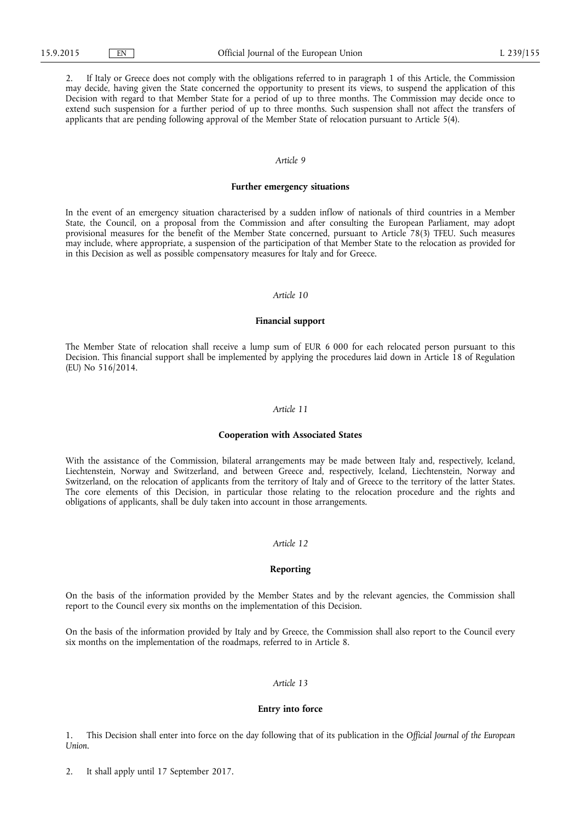2. If Italy or Greece does not comply with the obligations referred to in paragraph 1 of this Article, the Commission may decide, having given the State concerned the opportunity to present its views, to suspend the application of this Decision with regard to that Member State for a period of up to three months. The Commission may decide once to extend such suspension for a further period of up to three months. Such suspension shall not affect the transfers of applicants that are pending following approval of the Member State of relocation pursuant to Article 5(4).

## *Article 9*

## **Further emergency situations**

In the event of an emergency situation characterised by a sudden inflow of nationals of third countries in a Member State, the Council, on a proposal from the Commission and after consulting the European Parliament, may adopt provisional measures for the benefit of the Member State concerned, pursuant to Article 78(3) TFEU. Such measures may include, where appropriate, a suspension of the participation of that Member State to the relocation as provided for in this Decision as well as possible compensatory measures for Italy and for Greece.

## *Article 10*

## **Financial support**

The Member State of relocation shall receive a lump sum of EUR 6 000 for each relocated person pursuant to this Decision. This financial support shall be implemented by applying the procedures laid down in Article 18 of Regulation (EU) No 516/2014.

#### *Article 11*

#### **Cooperation with Associated States**

With the assistance of the Commission, bilateral arrangements may be made between Italy and, respectively, Iceland, Liechtenstein, Norway and Switzerland, and between Greece and, respectively, Iceland, Liechtenstein, Norway and Switzerland, on the relocation of applicants from the territory of Italy and of Greece to the territory of the latter States. The core elements of this Decision, in particular those relating to the relocation procedure and the rights and obligations of applicants, shall be duly taken into account in those arrangements.

## *Article 12*

# **Reporting**

On the basis of the information provided by the Member States and by the relevant agencies, the Commission shall report to the Council every six months on the implementation of this Decision.

On the basis of the information provided by Italy and by Greece, the Commission shall also report to the Council every six months on the implementation of the roadmaps, referred to in Article 8.

# *Article 13*

#### **Entry into force**

1. This Decision shall enter into force on the day following that of its publication in the *Official Journal of the European Union*.

2. It shall apply until 17 September 2017.